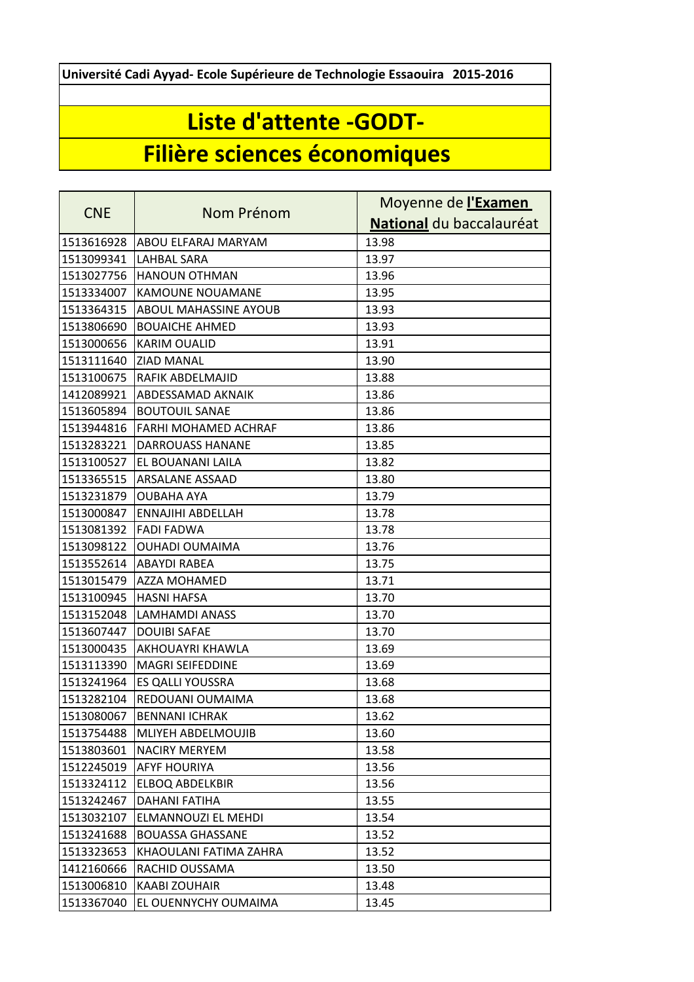**Université Cadi Ayyad- Ecole Supérieure de Technologie Essaouira 2015-2016**

## **Liste d'attente -GODT-**

## **Filière sciences économiques**

| <b>CNE</b> | Nom Prénom                  | Moyenne de l'Examen      |
|------------|-----------------------------|--------------------------|
|            |                             | National du baccalauréat |
| 1513616928 | ABOU ELFARAJ MARYAM         | 13.98                    |
| 1513099341 | LAHBAL SARA                 | 13.97                    |
| 1513027756 | <b>HANOUN OTHMAN</b>        | 13.96                    |
| 1513334007 | <b>KAMOUNE NOUAMANE</b>     | 13.95                    |
| 1513364315 | ABOUL MAHASSINE AYOUB       | 13.93                    |
| 1513806690 | <b>BOUAICHE AHMED</b>       | 13.93                    |
| 1513000656 | <b>KARIM OUALID</b>         | 13.91                    |
| 1513111640 | <b>ZIAD MANAL</b>           | 13.90                    |
| 1513100675 | RAFIK ABDELMAJID            | 13.88                    |
| 1412089921 | ABDESSAMAD AKNAIK           | 13.86                    |
| 1513605894 | <b>BOUTOUIL SANAE</b>       | 13.86                    |
| 1513944816 | <b>FARHI MOHAMED ACHRAF</b> | 13.86                    |
| 1513283221 | <b>DARROUASS HANANE</b>     | 13.85                    |
| 1513100527 | EL BOUANANI LAILA           | 13.82                    |
| 1513365515 | <b>ARSALANE ASSAAD</b>      | 13.80                    |
| 1513231879 | <b>OUBAHA AYA</b>           | 13.79                    |
| 1513000847 | <b>ENNAJIHI ABDELLAH</b>    | 13.78                    |
| 1513081392 | <b>FADI FADWA</b>           | 13.78                    |
| 1513098122 | <b>OUHADI OUMAIMA</b>       | 13.76                    |
| 1513552614 | <b>ABAYDI RABEA</b>         | 13.75                    |
| 1513015479 | AZZA MOHAMED                | 13.71                    |
| 1513100945 | <b>HASNI HAFSA</b>          | 13.70                    |
| 1513152048 | <b>LAMHAMDI ANASS</b>       | 13.70                    |
| 1513607447 | <b>DOUIBI SAFAE</b>         | 13.70                    |
| 1513000435 | <b>AKHOUAYRI KHAWLA</b>     | 13.69                    |
| 1513113390 | <b>MAGRI SEIFEDDINE</b>     | 13.69                    |
| 1513241964 | <b>ES QALLI YOUSSRA</b>     | 13.68                    |
| 1513282104 | REDOUANI OUMAIMA            | 13.68                    |
| 1513080067 | <b>BENNANI ICHRAK</b>       | 13.62                    |
| 1513754488 | IMLIYEH ABDELMOUJIB         | 13.60                    |
| 1513803601 | <b>NACIRY MERYEM</b>        | 13.58                    |
| 1512245019 | <b>AFYF HOURIYA</b>         | 13.56                    |
| 1513324112 | <b>ELBOQ ABDELKBIR</b>      | 13.56                    |
| 1513242467 | <b>DAHANI FATIHA</b>        | 13.55                    |
| 1513032107 | ELMANNOUZI EL MEHDI         | 13.54                    |
| 1513241688 | <b>BOUASSA GHASSANE</b>     | 13.52                    |
| 1513323653 | KHAOULANI FATIMA ZAHRA      | 13.52                    |
| 1412160666 | RACHID OUSSAMA              | 13.50                    |
| 1513006810 | <b>KAABI ZOUHAIR</b>        | 13.48                    |
| 1513367040 | EL OUENNYCHY OUMAIMA        | 13.45                    |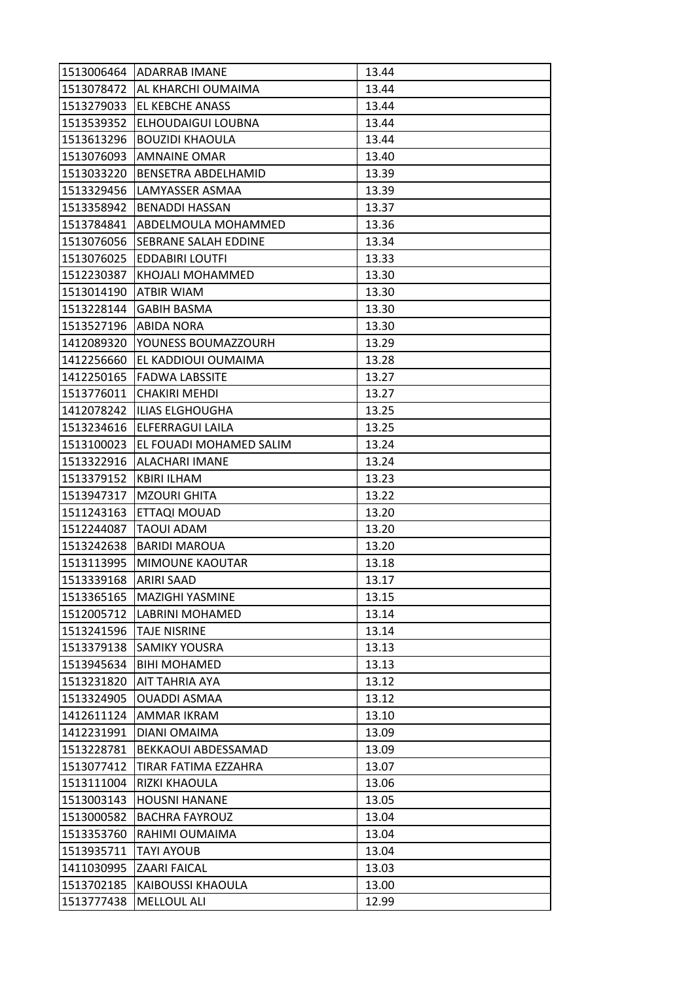| 1513006464 | <b>ADARRAB IMANE</b>        | 13.44 |
|------------|-----------------------------|-------|
| 1513078472 | AL KHARCHI OUMAIMA          | 13.44 |
| 1513279033 | EL KEBCHE ANASS             | 13.44 |
| 1513539352 | ELHOUDAIGUI LOUBNA          | 13.44 |
| 1513613296 | <b>BOUZIDI KHAOULA</b>      | 13.44 |
| 1513076093 | <b>AMNAINE OMAR</b>         | 13.40 |
| 1513033220 | BENSETRA ABDELHAMID         | 13.39 |
| 1513329456 | LAMYASSER ASMAA             | 13.39 |
| 1513358942 | <b>BENADDI HASSAN</b>       | 13.37 |
| 1513784841 | ABDELMOULA MOHAMMED         | 13.36 |
| 1513076056 | <b>SEBRANE SALAH EDDINE</b> | 13.34 |
| 1513076025 | <b>EDDABIRI LOUTFI</b>      | 13.33 |
| 1512230387 | KHOJALI MOHAMMED            | 13.30 |
| 1513014190 | <b>ATBIR WIAM</b>           | 13.30 |
| 1513228144 | <b>GABIH BASMA</b>          | 13.30 |
| 1513527196 | <b>ABIDA NORA</b>           | 13.30 |
| 1412089320 | YOUNESS BOUMAZZOURH         | 13.29 |
| 1412256660 | EL KADDIOUI OUMAIMA         | 13.28 |
| 1412250165 | <b>FADWA LABSSITE</b>       | 13.27 |
| 1513776011 | <b>CHAKIRI MEHDI</b>        | 13.27 |
| 1412078242 | <b>ILIAS ELGHOUGHA</b>      | 13.25 |
| 1513234616 | ELFERRAGUI LAILA            | 13.25 |
| 1513100023 | EL FOUADI MOHAMED SALIM     | 13.24 |
| 1513322916 | ALACHARI IMANE              | 13.24 |
| 1513379152 | <b>KBIRI ILHAM</b>          | 13.23 |
| 1513947317 | <b>MZOURI GHITA</b>         | 13.22 |
| 1511243163 | ETTAQI MOUAD                | 13.20 |
| 1512244087 | TAOUI ADAM                  | 13.20 |
| 1513242638 | <b>BARIDI MAROUA</b>        | 13.20 |
| 1513113995 | MIMOUNE KAOUTAR             | 13.18 |
| 1513339168 | <b>ARIRI SAAD</b>           | 13.17 |
| 1513365165 | MAZIGHI YASMINE             | 13.15 |
| 1512005712 | <b>LABRINI MOHAMED</b>      | 13.14 |
| 1513241596 | <b>TAJE NISRINE</b>         | 13.14 |
| 1513379138 | <b>SAMIKY YOUSRA</b>        | 13.13 |
| 1513945634 | <b>BIHI MOHAMED</b>         | 13.13 |
| 1513231820 | AIT TAHRIA AYA              | 13.12 |
| 1513324905 | <b>OUADDI ASMAA</b>         | 13.12 |
| 1412611124 | AMMAR IKRAM                 | 13.10 |
| 1412231991 | DIANI OMAIMA                | 13.09 |
| 1513228781 | BEKKAOUI ABDESSAMAD         | 13.09 |
| 1513077412 | TIRAR FATIMA EZZAHRA        | 13.07 |
| 1513111004 | RIZKI KHAOULA               | 13.06 |
| 1513003143 | <b>HOUSNI HANANE</b>        | 13.05 |
| 1513000582 | <b>BACHRA FAYROUZ</b>       | 13.04 |
| 1513353760 | RAHIMI OUMAIMA              | 13.04 |
| 1513935711 | <b>TAYI AYOUB</b>           | 13.04 |
| 1411030995 | ZAARI FAICAL                | 13.03 |
| 1513702185 | <b>KAIBOUSSI KHAOULA</b>    | 13.00 |
| 1513777438 | MELLOUL ALI                 | 12.99 |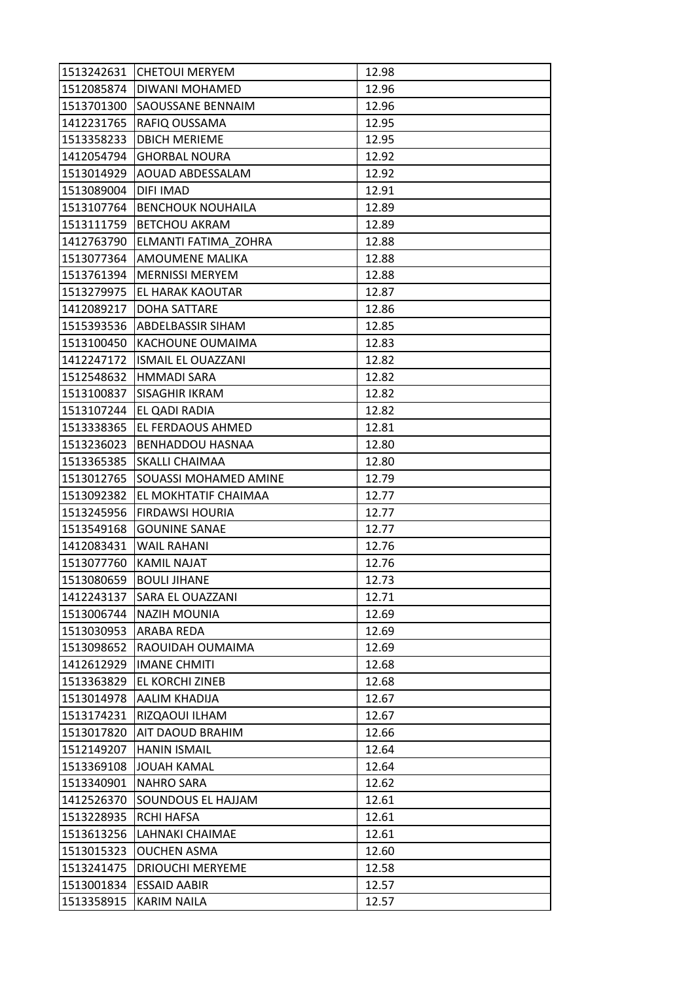| 1513242631 | <b>CHETOUI MERYEM</b>     | 12.98 |
|------------|---------------------------|-------|
| 1512085874 | DIWANI MOHAMED            | 12.96 |
| 1513701300 | SAOUSSANE BENNAIM         | 12.96 |
| 1412231765 | RAFIQ OUSSAMA             | 12.95 |
| 1513358233 | <b>DBICH MERIEME</b>      | 12.95 |
| 1412054794 | <b>GHORBAL NOURA</b>      | 12.92 |
| 1513014929 | AOUAD ABDESSALAM          | 12.92 |
| 1513089004 | DIFI IMAD                 | 12.91 |
| 1513107764 | <b>BENCHOUK NOUHAILA</b>  | 12.89 |
| 1513111759 | <b>BETCHOU AKRAM</b>      | 12.89 |
| 1412763790 | ELMANTI FATIMA ZOHRA      | 12.88 |
| 1513077364 | AMOUMENE MALIKA           | 12.88 |
| 1513761394 | <b>MERNISSI MERYEM</b>    | 12.88 |
| 1513279975 | EL HARAK KAOUTAR          | 12.87 |
| 1412089217 | <b>DOHA SATTARE</b>       | 12.86 |
| 1515393536 | ABDELBASSIR SIHAM         | 12.85 |
| 1513100450 | KACHOUNE OUMAIMA          | 12.83 |
| 1412247172 | <b>ISMAIL EL OUAZZANI</b> | 12.82 |
| 1512548632 | <b>HMMADI SARA</b>        | 12.82 |
| 1513100837 | SISAGHIR IKRAM            | 12.82 |
| 1513107244 | EL QADI RADIA             | 12.82 |
| 1513338365 | EL FERDAOUS AHMED         | 12.81 |
| 1513236023 | BENHADDOU HASNAA          | 12.80 |
| 1513365385 | SKALLI CHAIMAA            | 12.80 |
| 1513012765 | SOUASSI MOHAMED AMINE     | 12.79 |
| 1513092382 | EL MOKHTATIF CHAIMAA      | 12.77 |
| 1513245956 | <b>FIRDAWSI HOURIA</b>    | 12.77 |
| 1513549168 | <b>GOUNINE SANAE</b>      | 12.77 |
| 1412083431 | <b>WAIL RAHANI</b>        | 12.76 |
| 1513077760 | <b>KAMIL NAJAT</b>        | 12.76 |
| 1513080659 | <b>BOULI JIHANE</b>       | 12.73 |
| 1412243137 | SARA EL OUAZZANI          | 12.71 |
| 1513006744 | <b>NAZIH MOUNIA</b>       | 12.69 |
| 1513030953 | ARABA REDA                | 12.69 |
| 1513098652 | RAOUIDAH OUMAIMA          | 12.69 |
| 1412612929 | <b>IMANE CHMITI</b>       | 12.68 |
| 1513363829 | EL KORCHI ZINEB           | 12.68 |
| 1513014978 | AALIM KHADIJA             | 12.67 |
| 1513174231 | RIZQAOUI ILHAM            | 12.67 |
| 1513017820 | AIT DAOUD BRAHIM          | 12.66 |
| 1512149207 | <b>HANIN ISMAIL</b>       | 12.64 |
| 1513369108 | <b>JOUAH KAMAL</b>        | 12.64 |
| 1513340901 | <b>NAHRO SARA</b>         | 12.62 |
| 1412526370 | SOUNDOUS EL HAJJAM        | 12.61 |
| 1513228935 | <b>RCHI HAFSA</b>         | 12.61 |
| 1513613256 | LAHNAKI CHAIMAE           | 12.61 |
| 1513015323 | <b>OUCHEN ASMA</b>        | 12.60 |
| 1513241475 | <b>DRIOUCHI MERYEME</b>   | 12.58 |
| 1513001834 | <b>ESSAID AABIR</b>       | 12.57 |
| 1513358915 | <b>KARIM NAILA</b>        | 12.57 |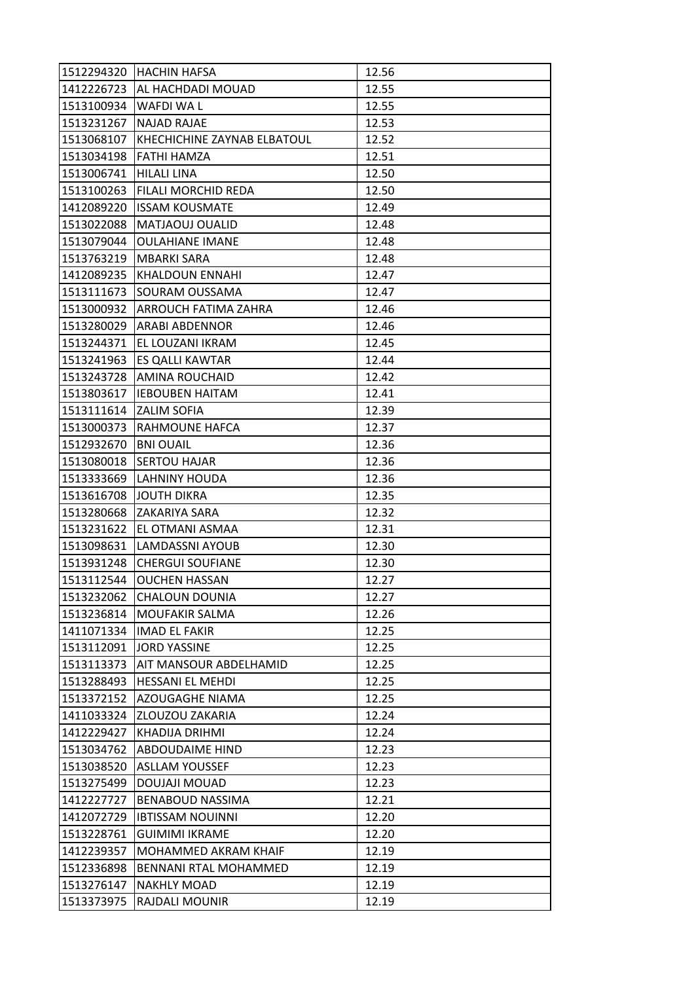| 1512294320 | <b>HACHIN HAFSA</b>         | 12.56 |
|------------|-----------------------------|-------|
| 1412226723 | AL HACHDADI MOUAD           | 12.55 |
| 1513100934 | WAFDI WA L                  | 12.55 |
| 1513231267 | <b>NAJAD RAJAE</b>          | 12.53 |
| 1513068107 | KHECHICHINE ZAYNAB ELBATOUL | 12.52 |
| 1513034198 | FATHI HAMZA                 | 12.51 |
| 1513006741 | <b>HILALI LINA</b>          | 12.50 |
| 1513100263 | FILALI MORCHID REDA         | 12.50 |
| 1412089220 | <b>ISSAM KOUSMATE</b>       | 12.49 |
| 1513022088 | MATJAOUJ OUALID             | 12.48 |
| 1513079044 | <b>OULAHIANE IMANE</b>      | 12.48 |
| 1513763219 | <b>MBARKI SARA</b>          | 12.48 |
| 1412089235 | KHALDOUN ENNAHI             | 12.47 |
| 1513111673 | SOURAM OUSSAMA              | 12.47 |
| 1513000932 | ARROUCH FATIMA ZAHRA        | 12.46 |
| 1513280029 | <b>ARABI ABDENNOR</b>       | 12.46 |
| 1513244371 | EL LOUZANI IKRAM            | 12.45 |
| 1513241963 | ES QALLI KAWTAR             | 12.44 |
| 1513243728 | <b>AMINA ROUCHAID</b>       | 12.42 |
| 1513803617 | <b>IEBOUBEN HAITAM</b>      | 12.41 |
| 1513111614 | <b>ZALIM SOFIA</b>          | 12.39 |
| 1513000373 | RAHMOUNE HAFCA              | 12.37 |
| 1512932670 | <b>BNI OUAIL</b>            | 12.36 |
| 1513080018 | <b>SERTOU HAJAR</b>         | 12.36 |
| 1513333669 | LAHNINY HOUDA               | 12.36 |
| 1513616708 | <b>JOUTH DIKRA</b>          | 12.35 |
| 1513280668 | ZAKARIYA SARA               | 12.32 |
| 1513231622 | EL OTMANI ASMAA             | 12.31 |
| 1513098631 | LAMDASSNI AYOUB             | 12.30 |
| 1513931248 | <b>CHERGUI SOUFIANE</b>     | 12.30 |
| 1513112544 | <b>OUCHEN HASSAN</b>        | 12.27 |
| 1513232062 | <b>CHALOUN DOUNIA</b>       | 12.27 |
| 1513236814 | MOUFAKIR SALMA              | 12.26 |
| 1411071334 | <b>IMAD EL FAKIR</b>        | 12.25 |
| 1513112091 | <b>JORD YASSINE</b>         | 12.25 |
| 1513113373 | AIT MANSOUR ABDELHAMID      | 12.25 |
| 1513288493 | <b>HESSANI EL MEHDI</b>     | 12.25 |
| 1513372152 | AZOUGAGHE NIAMA             | 12.25 |
| 1411033324 | ZLOUZOU ZAKARIA             | 12.24 |
| 1412229427 | <b>KHADIJA DRIHMI</b>       | 12.24 |
| 1513034762 | <b>ABDOUDAIME HIND</b>      | 12.23 |
| 1513038520 | <b>ASLLAM YOUSSEF</b>       | 12.23 |
| 1513275499 | DOUJAJI MOUAD               | 12.23 |
| 1412227727 | <b>BENABOUD NASSIMA</b>     | 12.21 |
| 1412072729 | <b>IBTISSAM NOUINNI</b>     | 12.20 |
| 1513228761 | <b>GUIMIMI IKRAME</b>       | 12.20 |
| 1412239357 | MOHAMMED AKRAM KHAIF        | 12.19 |
| 1512336898 | BENNANI RTAL MOHAMMED       | 12.19 |
| 1513276147 | <b>NAKHLY MOAD</b>          | 12.19 |
| 1513373975 | RAJDALI MOUNIR              | 12.19 |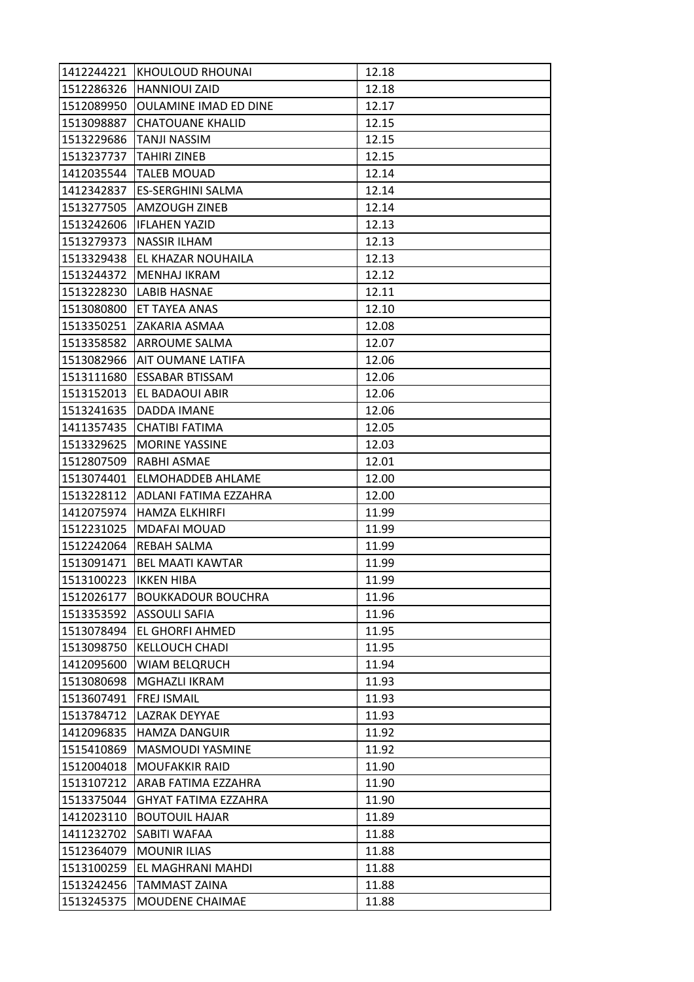| 1412244221 | <b>KHOULOUD RHOUNAI</b>      | 12.18 |
|------------|------------------------------|-------|
| 1512286326 | <b>HANNIOUI ZAID</b>         | 12.18 |
| 1512089950 | <b>OULAMINE IMAD ED DINE</b> | 12.17 |
| 1513098887 | <b>CHATOUANE KHALID</b>      | 12.15 |
| 1513229686 | TANJI NASSIM                 | 12.15 |
| 1513237737 | TAHIRI ZINEB                 | 12.15 |
| 1412035544 | <b>TALEB MOUAD</b>           | 12.14 |
| 1412342837 | <b>ES-SERGHINI SALMA</b>     | 12.14 |
| 1513277505 | <b>AMZOUGH ZINEB</b>         | 12.14 |
| 1513242606 | <b>IFLAHEN YAZID</b>         | 12.13 |
| 1513279373 | <b>NASSIR ILHAM</b>          | 12.13 |
| 1513329438 | EL KHAZAR NOUHAILA           | 12.13 |
| 1513244372 | MENHAJ IKRAM                 | 12.12 |
| 1513228230 | LABIB HASNAE                 | 12.11 |
| 1513080800 | ET TAYEA ANAS                | 12.10 |
| 1513350251 | ZAKARIA ASMAA                | 12.08 |
| 1513358582 | ARROUME SALMA                | 12.07 |
| 1513082966 | AIT OUMANE LATIFA            | 12.06 |
| 1513111680 | <b>ESSABAR BTISSAM</b>       | 12.06 |
| 1513152013 | EL BADAOUI ABIR              | 12.06 |
| 1513241635 | DADDA IMANE                  | 12.06 |
| 1411357435 | CHATIBI FATIMA               | 12.05 |
| 1513329625 | <b>MORINE YASSINE</b>        | 12.03 |
| 1512807509 | RABHI ASMAE                  | 12.01 |
| 1513074401 | ELMOHADDEB AHLAME            | 12.00 |
| 1513228112 | ADLANI FATIMA EZZAHRA        | 12.00 |
| 1412075974 | HAMZA ELKHIRFI               | 11.99 |
| 1512231025 | <b>MDAFAI MOUAD</b>          | 11.99 |
| 1512242064 | <b>REBAH SALMA</b>           | 11.99 |
| 1513091471 | <b>BEL MAATI KAWTAR</b>      | 11.99 |
| 1513100223 | <b>IKKEN HIBA</b>            | 11.99 |
| 1512026177 | <b>BOUKKADOUR BOUCHRA</b>    | 11.96 |
| 1513353592 | <b>ASSOULI SAFIA</b>         | 11.96 |
| 1513078494 | EL GHORFI AHMED              | 11.95 |
| 1513098750 | <b>KELLOUCH CHADI</b>        | 11.95 |
| 1412095600 | <b>WIAM BELQRUCH</b>         | 11.94 |
| 1513080698 | MGHAZLI IKRAM                | 11.93 |
| 1513607491 | <b>FREJ ISMAIL</b>           | 11.93 |
| 1513784712 | LAZRAK DEYYAE                | 11.93 |
| 1412096835 | <b>HAMZA DANGUIR</b>         | 11.92 |
| 1515410869 | MASMOUDI YASMINE             | 11.92 |
| 1512004018 | <b>MOUFAKKIR RAID</b>        | 11.90 |
| 1513107212 | ARAB FATIMA EZZAHRA          | 11.90 |
| 1513375044 | GHYAT FATIMA EZZAHRA         | 11.90 |
| 1412023110 | <b>BOUTOUIL HAJAR</b>        | 11.89 |
| 1411232702 | SABITI WAFAA                 | 11.88 |
| 1512364079 | <b>MOUNIR ILIAS</b>          | 11.88 |
| 1513100259 | EL MAGHRANI MAHDI            | 11.88 |
| 1513242456 | <b>TAMMAST ZAINA</b>         | 11.88 |
| 1513245375 | MOUDENE CHAIMAE              | 11.88 |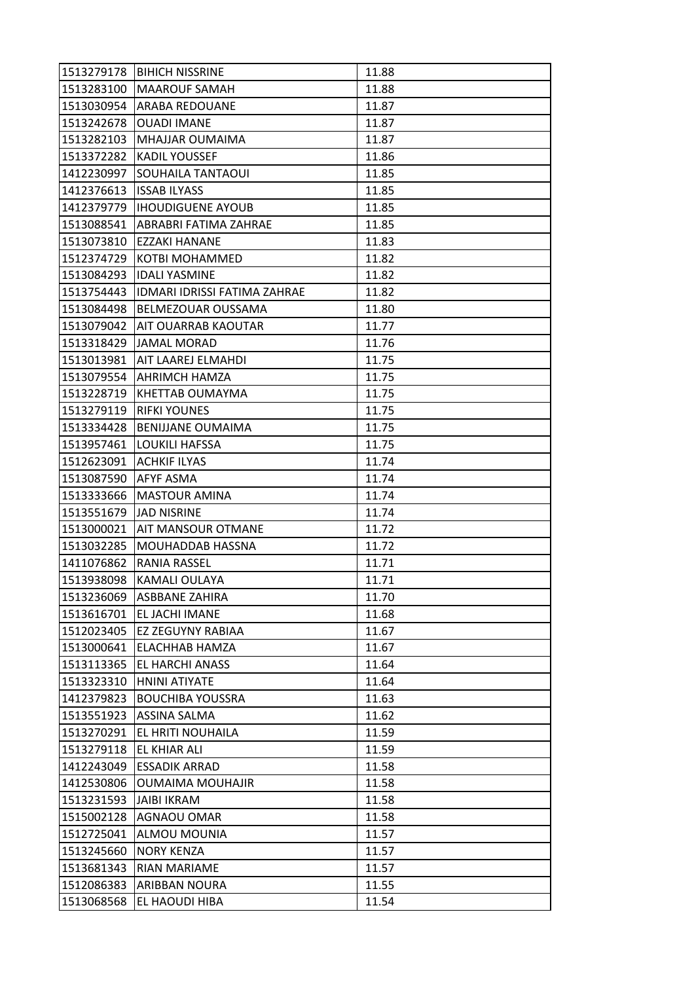| 1513279178 | <b>BIHICH NISSRINE</b>              | 11.88 |
|------------|-------------------------------------|-------|
| 1513283100 | <b>MAAROUF SAMAH</b>                | 11.88 |
| 1513030954 | <b>ARABA REDOUANE</b>               | 11.87 |
| 1513242678 | <b>OUADI IMANE</b>                  | 11.87 |
| 1513282103 | MHAJJAR OUMAIMA                     | 11.87 |
| 1513372282 | <b>KADIL YOUSSEF</b>                | 11.86 |
| 1412230997 | SOUHAILA TANTAOUI                   | 11.85 |
| 1412376613 | <b>ISSAB ILYASS</b>                 | 11.85 |
| 1412379779 | <b>IHOUDIGUENE AYOUB</b>            | 11.85 |
| 1513088541 | ABRABRI FATIMA ZAHRAE               | 11.85 |
| 1513073810 | EZZAKI HANANE                       | 11.83 |
| 1512374729 | KOTBI MOHAMMED                      | 11.82 |
| 1513084293 | <b>IDALI YASMINE</b>                | 11.82 |
| 1513754443 | <b>IDMARI IDRISSI FATIMA ZAHRAE</b> | 11.82 |
| 1513084498 | BELMEZOUAR OUSSAMA                  | 11.80 |
| 1513079042 | AIT OUARRAB KAOUTAR                 | 11.77 |
| 1513318429 | JAMAL MORAD                         | 11.76 |
| 1513013981 | AIT LAAREJ ELMAHDI                  | 11.75 |
| 1513079554 | <b>AHRIMCH HAMZA</b>                | 11.75 |
| 1513228719 | KHETTAB OUMAYMA                     | 11.75 |
| 1513279119 | <b>RIFKI YOUNES</b>                 | 11.75 |
| 1513334428 | <b>BENIJJANE OUMAIMA</b>            | 11.75 |
| 1513957461 | <b>LOUKILI HAFSSA</b>               | 11.75 |
| 1512623091 | <b>ACHKIF ILYAS</b>                 | 11.74 |
| 1513087590 | AFYF ASMA                           | 11.74 |
| 1513333666 | <b>MASTOUR AMINA</b>                | 11.74 |
| 1513551679 | <b>JAD NISRINE</b>                  | 11.74 |
| 1513000021 | AIT MANSOUR OTMANE                  | 11.72 |
| 1513032285 | MOUHADDAB HASSNA                    | 11.72 |
| 1411076862 | RANIA RASSEL                        | 11.71 |
| 1513938098 | KAMALI OULAYA                       | 11.71 |
| 1513236069 | ASBBANE ZAHIRA                      | 11.70 |
| 1513616701 | EL JACHI IMANE                      | 11.68 |
| 1512023405 | EZ ZEGUYNY RABIAA                   | 11.67 |
| 1513000641 | ELACHHAB HAMZA                      | 11.67 |
| 1513113365 | EL HARCHI ANASS                     | 11.64 |
| 1513323310 | HNINI ATIYATE                       | 11.64 |
| 1412379823 | <b>BOUCHIBA YOUSSRA</b>             | 11.63 |
| 1513551923 | <b>ASSINA SALMA</b>                 | 11.62 |
| 1513270291 | EL HRITI NOUHAILA                   | 11.59 |
| 1513279118 | EL KHIAR ALI                        | 11.59 |
| 1412243049 | <b>ESSADIK ARRAD</b>                | 11.58 |
| 1412530806 | <b>OUMAIMA MOUHAJIR</b>             | 11.58 |
| 1513231593 | <b>JAIBI IKRAM</b>                  | 11.58 |
| 1515002128 | AGNAOU OMAR                         | 11.58 |
| 1512725041 | ALMOU MOUNIA                        | 11.57 |
| 1513245660 | <b>NORY KENZA</b>                   | 11.57 |
| 1513681343 | RIAN MARIAME                        | 11.57 |
| 1512086383 | ARIBBAN NOURA                       | 11.55 |
| 1513068568 | EL HAOUDI HIBA                      | 11.54 |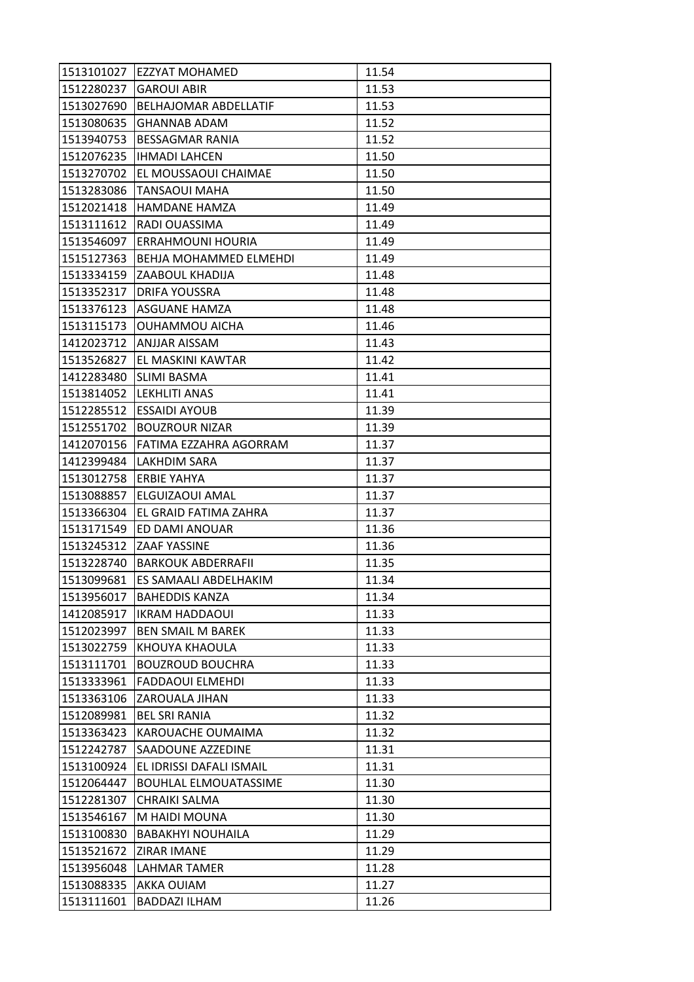| 1513101027 | <b>EZZYAT MOHAMED</b>         | 11.54 |
|------------|-------------------------------|-------|
| 1512280237 | <b>GAROUI ABIR</b>            | 11.53 |
| 1513027690 | <b>BELHAJOMAR ABDELLATIF</b>  | 11.53 |
| 1513080635 | <b>GHANNAB ADAM</b>           | 11.52 |
| 1513940753 | <b>BESSAGMAR RANIA</b>        | 11.52 |
| 1512076235 | <b>IHMADI LAHCEN</b>          | 11.50 |
| 1513270702 | EL MOUSSAOUI CHAIMAE          | 11.50 |
| 1513283086 | TANSAOUI MAHA                 | 11.50 |
| 1512021418 | <b>HAMDANE HAMZA</b>          | 11.49 |
| 1513111612 | RADI OUASSIMA                 | 11.49 |
| 1513546097 | ERRAHMOUNI HOURIA             | 11.49 |
| 1515127363 | <b>BEHJA MOHAMMED ELMEHDI</b> | 11.49 |
| 1513334159 | ZAABOUL KHADIJA               | 11.48 |
| 1513352317 | <b>DRIFA YOUSSRA</b>          | 11.48 |
| 1513376123 | ASGUANE HAMZA                 | 11.48 |
| 1513115173 | OUHAMMOU AICHA                | 11.46 |
| 1412023712 | ANJJAR AISSAM                 | 11.43 |
| 1513526827 | EL MASKINI KAWTAR             | 11.42 |
| 1412283480 | <b>SLIMI BASMA</b>            | 11.41 |
| 1513814052 | LEKHLITI ANAS                 | 11.41 |
| 1512285512 | <b>ESSAIDI AYOUB</b>          | 11.39 |
| 1512551702 | <b>BOUZROUR NIZAR</b>         | 11.39 |
| 1412070156 | FATIMA EZZAHRA AGORRAM        | 11.37 |
| 1412399484 | LAKHDIM SARA                  | 11.37 |
| 1513012758 | <b>ERBIE YAHYA</b>            | 11.37 |
| 1513088857 | ELGUIZAOUI AMAL               | 11.37 |
| 1513366304 | EL GRAID FATIMA ZAHRA         | 11.37 |
| 1513171549 | ED DAMI ANOUAR                | 11.36 |
| 1513245312 | ZAAF YASSINE                  | 11.36 |
| 1513228740 | <b>BARKOUK ABDERRAFII</b>     | 11.35 |
| 1513099681 | ES SAMAALI ABDELHAKIM         | 11.34 |
| 1513956017 | <b>BAHEDDIS KANZA</b>         | 11.34 |
| 1412085917 | <b>IKRAM HADDAOUI</b>         | 11.33 |
| 1512023997 | <b>BEN SMAIL M BAREK</b>      | 11.33 |
| 1513022759 | KHOUYA KHAOULA                | 11.33 |
| 1513111701 | <b>BOUZROUD BOUCHRA</b>       | 11.33 |
| 1513333961 | <b>FADDAOUI ELMEHDI</b>       | 11.33 |
| 1513363106 | ZAROUALA JIHAN                | 11.33 |
| 1512089981 | <b>BEL SRI RANIA</b>          | 11.32 |
| 1513363423 | KAROUACHE OUMAIMA             | 11.32 |
| 1512242787 | SAADOUNE AZZEDINE             | 11.31 |
| 1513100924 | EL IDRISSI DAFALI ISMAIL      | 11.31 |
| 1512064447 | <b>BOUHLAL ELMOUATASSIME</b>  | 11.30 |
| 1512281307 | CHRAIKI SALMA                 | 11.30 |
| 1513546167 | M HAIDI MOUNA                 | 11.30 |
| 1513100830 | <b>BABAKHYI NOUHAILA</b>      | 11.29 |
| 1513521672 | ZIRAR IMANE                   | 11.29 |
| 1513956048 | <b>LAHMAR TAMER</b>           | 11.28 |
| 1513088335 | AKKA OUIAM                    | 11.27 |
| 1513111601 | BADDAZI ILHAM                 | 11.26 |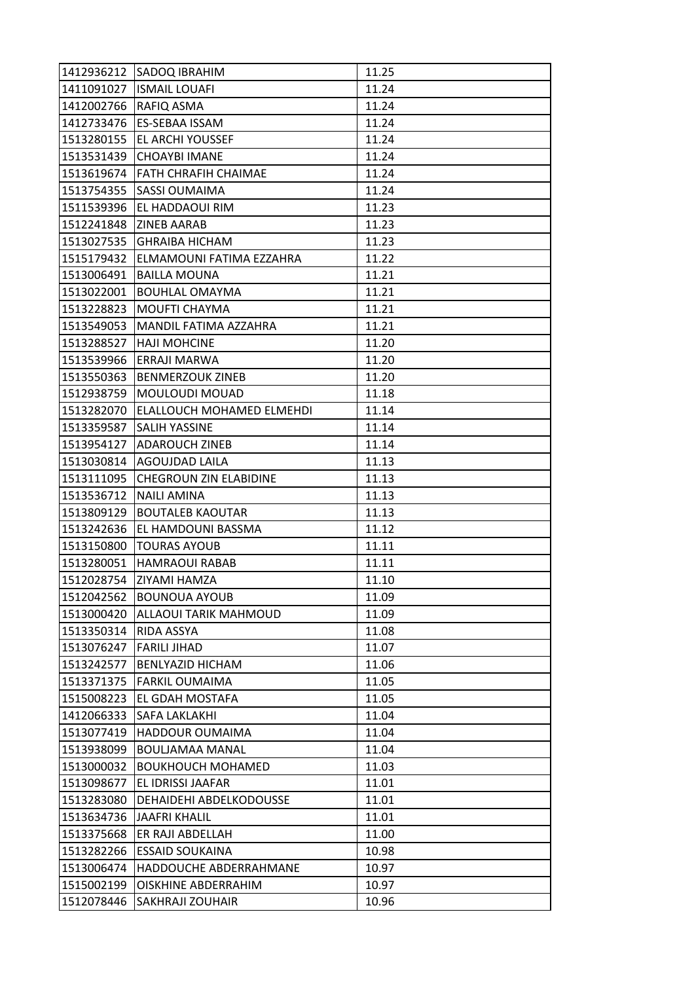| 1412936212 | SADOQ IBRAHIM                 | 11.25 |
|------------|-------------------------------|-------|
| 1411091027 | <b>ISMAIL LOUAFI</b>          | 11.24 |
| 1412002766 | RAFIQ ASMA                    | 11.24 |
| 1412733476 | ES-SEBAA ISSAM                | 11.24 |
| 1513280155 | EL ARCHI YOUSSEF              | 11.24 |
| 1513531439 | <b>CHOAYBI IMANE</b>          | 11.24 |
| 1513619674 | <b>FATH CHRAFIH CHAIMAE</b>   | 11.24 |
| 1513754355 | SASSI OUMAIMA                 | 11.24 |
| 1511539396 | EL HADDAOUI RIM               | 11.23 |
| 1512241848 | <b>ZINEB AARAB</b>            | 11.23 |
| 1513027535 | <b>GHRAIBA HICHAM</b>         | 11.23 |
| 1515179432 | ELMAMOUNI FATIMA EZZAHRA      | 11.22 |
| 1513006491 | <b>BAILLA MOUNA</b>           | 11.21 |
| 1513022001 | <b>BOUHLAL OMAYMA</b>         | 11.21 |
| 1513228823 | MOUFTI CHAYMA                 | 11.21 |
| 1513549053 | MANDIL FATIMA AZZAHRA         | 11.21 |
| 1513288527 | <b>HAJI MOHCINE</b>           | 11.20 |
| 1513539966 | ERRAJI MARWA                  | 11.20 |
| 1513550363 | <b>BENMERZOUK ZINEB</b>       | 11.20 |
| 1512938759 | MOULOUDI MOUAD                | 11.18 |
| 1513282070 | ELALLOUCH MOHAMED ELMEHDI     | 11.14 |
| 1513359587 | SALIH YASSINE                 | 11.14 |
| 1513954127 | <b>ADAROUCH ZINEB</b>         | 11.14 |
| 1513030814 | AGOUJDAD LAILA                | 11.13 |
| 1513111095 | <b>CHEGROUN ZIN ELABIDINE</b> | 11.13 |
| 1513536712 | <b>NAILI AMINA</b>            | 11.13 |
| 1513809129 | <b>BOUTALEB KAOUTAR</b>       | 11.13 |
| 1513242636 | EL HAMDOUNI BASSMA            | 11.12 |
| 1513150800 | <b>TOURAS AYOUB</b>           | 11.11 |
| 1513280051 | <b>HAMRAOUI RABAB</b>         | 11.11 |
| 1512028754 | ZIYAMI HAMZA                  | 11.10 |
| 1512042562 | <b>BOUNOUA AYOUB</b>          | 11.09 |
| 1513000420 | ALLAOUI TARIK MAHMOUD         | 11.09 |
| 1513350314 | RIDA ASSYA                    | 11.08 |
| 1513076247 | <b>FARILI JIHAD</b>           | 11.07 |
| 1513242577 | <b>BENLYAZID HICHAM</b>       | 11.06 |
| 1513371375 | <b>FARKIL OUMAIMA</b>         | 11.05 |
| 1515008223 | EL GDAH MOSTAFA               | 11.05 |
| 1412066333 | SAFA LAKLAKHI                 | 11.04 |
| 1513077419 | HADDOUR OUMAIMA               | 11.04 |
| 1513938099 | BOULJAMAA MANAL               | 11.04 |
| 1513000032 | <b>BOUKHOUCH MOHAMED</b>      | 11.03 |
| 1513098677 | EL IDRISSI JAAFAR             | 11.01 |
| 1513283080 | DEHAIDEHI ABDELKODOUSSE       | 11.01 |
| 1513634736 | <b>JAAFRI KHALIL</b>          | 11.01 |
| 1513375668 | ER RAJI ABDELLAH              | 11.00 |
| 1513282266 | <b>ESSAID SOUKAINA</b>        | 10.98 |
| 1513006474 | HADDOUCHE ABDERRAHMANE        | 10.97 |
| 1515002199 | OISKHINE ABDERRAHIM           | 10.97 |
| 1512078446 | SAKHRAJI ZOUHAIR              | 10.96 |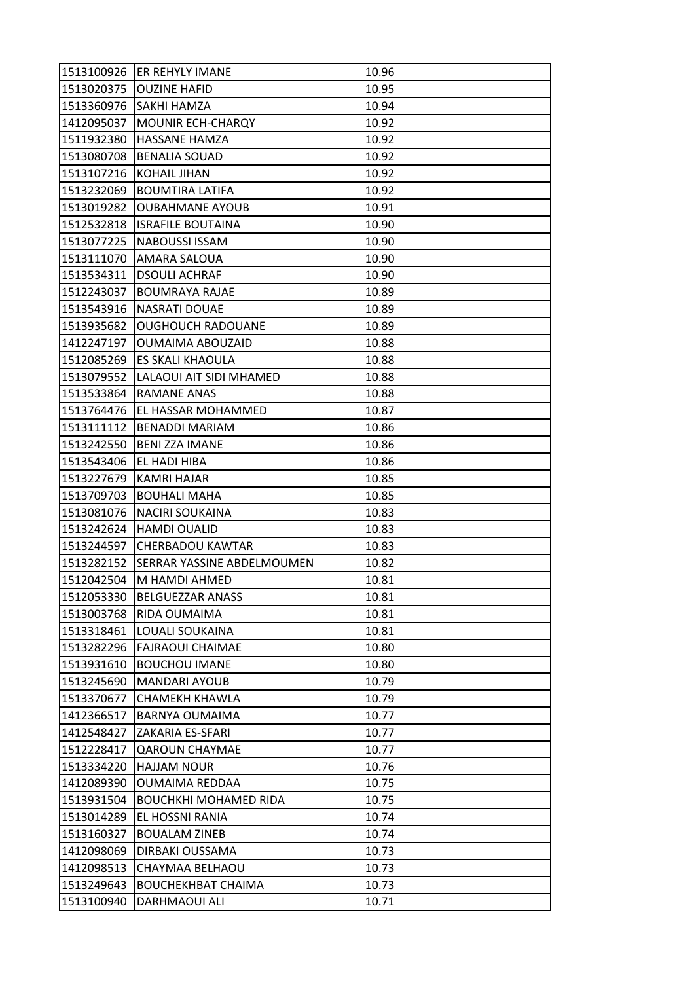| 1513100926 | <b>ER REHYLY IMANE</b>       | 10.96 |
|------------|------------------------------|-------|
| 1513020375 | <b>OUZINE HAFID</b>          | 10.95 |
| 1513360976 | SAKHI HAMZA                  | 10.94 |
| 1412095037 | MOUNIR ECH-CHARQY            | 10.92 |
| 1511932380 | <b>HASSANE HAMZA</b>         | 10.92 |
| 1513080708 | <b>BENALIA SOUAD</b>         | 10.92 |
| 1513107216 | <b>KOHAIL JIHAN</b>          | 10.92 |
| 1513232069 | <b>BOUMTIRA LATIFA</b>       | 10.92 |
| 1513019282 | <b>OUBAHMANE AYOUB</b>       | 10.91 |
| 1512532818 | <b>ISRAFILE BOUTAINA</b>     | 10.90 |
| 1513077225 | <b>NABOUSSI ISSAM</b>        | 10.90 |
| 1513111070 | AMARA SALOUA                 | 10.90 |
| 1513534311 | <b>DSOULI ACHRAF</b>         | 10.90 |
| 1512243037 | <b>BOUMRAYA RAJAE</b>        | 10.89 |
| 1513543916 | <b>NASRATI DOUAE</b>         | 10.89 |
| 1513935682 | <b>OUGHOUCH RADOUANE</b>     | 10.89 |
| 1412247197 | <b>OUMAIMA ABOUZAID</b>      | 10.88 |
| 1512085269 | ES SKALI KHAOULA             | 10.88 |
| 1513079552 | LALAOUI AIT SIDI MHAMED      | 10.88 |
| 1513533864 | RAMANE ANAS                  | 10.88 |
| 1513764476 | EL HASSAR MOHAMMED           | 10.87 |
| 1513111112 | <b>BENADDI MARIAM</b>        | 10.86 |
| 1513242550 | <b>BENI ZZA IMANE</b>        | 10.86 |
| 1513543406 | EL HADI HIBA                 | 10.86 |
| 1513227679 | KAMRI HAJAR                  | 10.85 |
| 1513709703 | <b>BOUHALI MAHA</b>          | 10.85 |
| 1513081076 | <b>NACIRI SOUKAINA</b>       | 10.83 |
| 1513242624 | <b>HAMDI OUALID</b>          | 10.83 |
| 1513244597 | <b>CHERBADOU KAWTAR</b>      | 10.83 |
| 1513282152 | SERRAR YASSINE ABDELMOUMEN   | 10.82 |
| 1512042504 | M HAMDI AHMED                | 10.81 |
| 1512053330 | <b>BELGUEZZAR ANASS</b>      | 10.81 |
| 1513003768 | RIDA OUMAIMA                 | 10.81 |
| 1513318461 | LOUALI SOUKAINA              | 10.81 |
| 1513282296 | <b>FAJRAOUI CHAIMAE</b>      | 10.80 |
| 1513931610 | <b>BOUCHOU IMANE</b>         | 10.80 |
| 1513245690 | <b>MANDARI AYOUB</b>         | 10.79 |
| 1513370677 | <b>CHAMEKH KHAWLA</b>        | 10.79 |
| 1412366517 | <b>BARNYA OUMAIMA</b>        | 10.77 |
| 1412548427 | ZAKARIA ES-SFARI             | 10.77 |
| 1512228417 | <b>QAROUN CHAYMAE</b>        | 10.77 |
| 1513334220 | <b>HAJJAM NOUR</b>           | 10.76 |
| 1412089390 | <b>OUMAIMA REDDAA</b>        | 10.75 |
| 1513931504 | <b>BOUCHKHI MOHAMED RIDA</b> | 10.75 |
| 1513014289 | EL HOSSNI RANIA              | 10.74 |
| 1513160327 | <b>BOUALAM ZINEB</b>         | 10.74 |
| 1412098069 | DIRBAKI OUSSAMA              | 10.73 |
| 1412098513 | CHAYMAA BELHAOU              | 10.73 |
| 1513249643 | <b>BOUCHEKHBAT CHAIMA</b>    | 10.73 |
| 1513100940 | DARHMAOUI ALI                | 10.71 |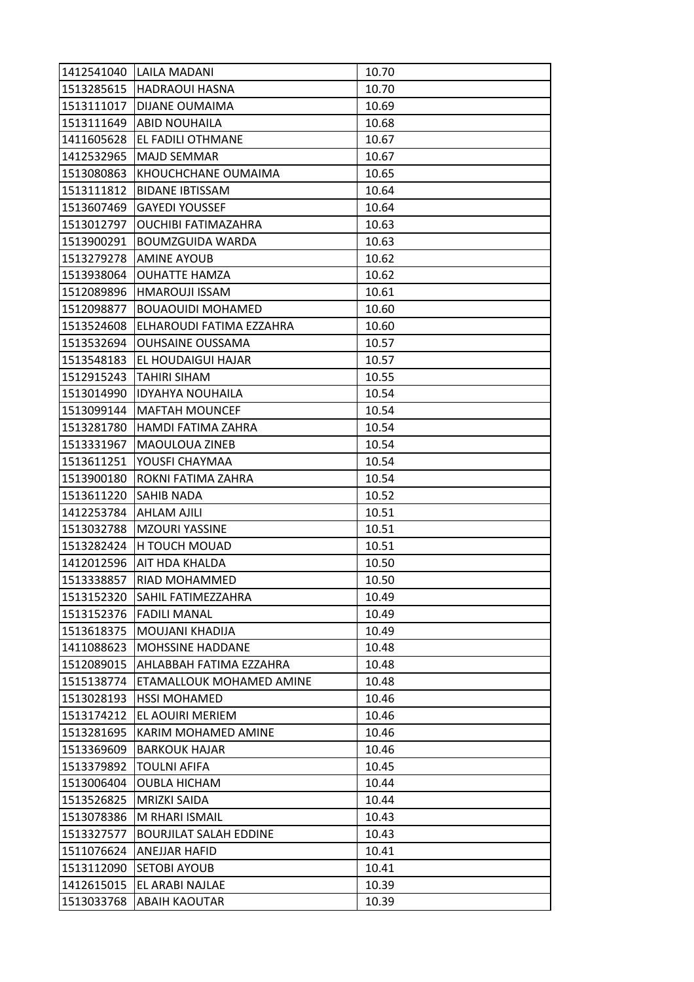| 1412541040 | <b>LAILA MADANI</b>           | 10.70 |
|------------|-------------------------------|-------|
| 1513285615 | <b>HADRAOUI HASNA</b>         | 10.70 |
| 1513111017 | <b>DIJANE OUMAIMA</b>         | 10.69 |
| 1513111649 | <b>ABID NOUHAILA</b>          | 10.68 |
| 1411605628 | EL FADILI OTHMANE             | 10.67 |
| 1412532965 | MAJD SEMMAR                   | 10.67 |
| 1513080863 | KHOUCHCHANE OUMAIMA           | 10.65 |
| 1513111812 | <b>BIDANE IBTISSAM</b>        | 10.64 |
| 1513607469 | <b>GAYEDI YOUSSEF</b>         | 10.64 |
| 1513012797 | <b>OUCHIBI FATIMAZAHRA</b>    | 10.63 |
| 1513900291 | <b>BOUMZGUIDA WARDA</b>       | 10.63 |
| 1513279278 | <b>AMINE AYOUB</b>            | 10.62 |
| 1513938064 | <b>OUHATTE HAMZA</b>          | 10.62 |
| 1512089896 | <b>HMAROUJI ISSAM</b>         | 10.61 |
| 1512098877 | <b>BOUAOUIDI MOHAMED</b>      | 10.60 |
| 1513524608 | ELHAROUDI FATIMA EZZAHRA      | 10.60 |
| 1513532694 | <b>OUHSAINE OUSSAMA</b>       | 10.57 |
| 1513548183 | EL HOUDAIGUI HAJAR            | 10.57 |
| 1512915243 | <b>TAHIRI SIHAM</b>           | 10.55 |
| 1513014990 | <b>IDYAHYA NOUHAILA</b>       | 10.54 |
| 1513099144 | <b>MAFTAH MOUNCEF</b>         | 10.54 |
| 1513281780 | HAMDI FATIMA ZAHRA            | 10.54 |
| 1513331967 | MAOULOUA ZINEB                | 10.54 |
| 1513611251 | YOUSFI CHAYMAA                | 10.54 |
| 1513900180 | ROKNI FATIMA ZAHRA            | 10.54 |
| 1513611220 | <b>SAHIB NADA</b>             | 10.52 |
| 1412253784 | AHLAM AJILI                   | 10.51 |
| 1513032788 | <b>MZOURI YASSINE</b>         | 10.51 |
| 1513282424 | H TOUCH MOUAD                 | 10.51 |
| 1412012596 | AIT HDA KHALDA                | 10.50 |
| 1513338857 | RIAD MOHAMMED                 | 10.50 |
| 1513152320 | SAHIL FATIMEZZAHRA            | 10.49 |
| 1513152376 | <b>FADILI MANAL</b>           | 10.49 |
| 1513618375 | MOUJANI KHADIJA               | 10.49 |
| 1411088623 | MOHSSINE HADDANE              | 10.48 |
| 1512089015 | AHLABBAH FATIMA EZZAHRA       | 10.48 |
| 1515138774 | ETAMALLOUK MOHAMED AMINE      | 10.48 |
| 1513028193 | <b>HSSI MOHAMED</b>           | 10.46 |
| 1513174212 | EL AOUIRI MERIEM              | 10.46 |
| 1513281695 | KARIM MOHAMED AMINE           | 10.46 |
| 1513369609 | <b>BARKOUK HAJAR</b>          | 10.46 |
| 1513379892 | <b>TOULNI AFIFA</b>           | 10.45 |
| 1513006404 | <b>OUBLA HICHAM</b>           | 10.44 |
| 1513526825 | MRIZKI SAIDA                  | 10.44 |
| 1513078386 | M RHARI ISMAIL                | 10.43 |
| 1513327577 | <b>BOURJILAT SALAH EDDINE</b> | 10.43 |
| 1511076624 | ANEJJAR HAFID                 | 10.41 |
| 1513112090 | <b>SETOBI AYOUB</b>           | 10.41 |
| 1412615015 | EL ARABI NAJLAE               | 10.39 |
| 1513033768 | <b>ABAIH KAOUTAR</b>          | 10.39 |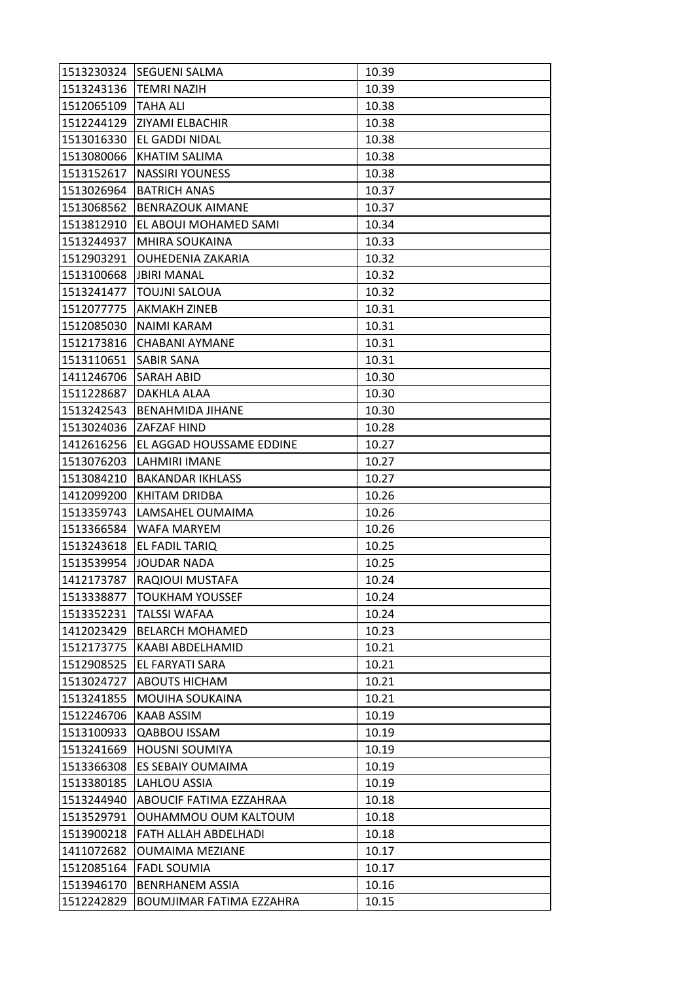| 1513230324 | <b>SEGUENI SALMA</b>     | 10.39 |
|------------|--------------------------|-------|
| 1513243136 | <b>TEMRI NAZIH</b>       | 10.39 |
| 1512065109 | <b>TAHA ALI</b>          | 10.38 |
| 1512244129 | ZIYAMI ELBACHIR          | 10.38 |
| 1513016330 | EL GADDI NIDAL           | 10.38 |
| 1513080066 | KHATIM SALIMA            | 10.38 |
| 1513152617 | <b>NASSIRI YOUNESS</b>   | 10.38 |
| 1513026964 | <b>BATRICH ANAS</b>      | 10.37 |
| 1513068562 | <b>BENRAZOUK AIMANE</b>  | 10.37 |
| 1513812910 | EL ABOUI MOHAMED SAMI    | 10.34 |
| 1513244937 | MHIRA SOUKAINA           | 10.33 |
| 1512903291 | OUHEDENIA ZAKARIA        | 10.32 |
| 1513100668 | <b>JBIRI MANAL</b>       | 10.32 |
| 1513241477 | <b>TOUJNI SALOUA</b>     | 10.32 |
| 1512077775 | AKMAKH ZINEB             | 10.31 |
| 1512085030 | NAIMI KARAM              | 10.31 |
| 1512173816 | <b>CHABANI AYMANE</b>    | 10.31 |
| 1513110651 | SABIR SANA               | 10.31 |
| 1411246706 | <b>SARAH ABID</b>        | 10.30 |
| 1511228687 | DAKHLA ALAA              | 10.30 |
| 1513242543 | <b>BENAHMIDA JIHANE</b>  | 10.30 |
| 1513024036 | ZAFZAF HIND              | 10.28 |
| 1412616256 | EL AGGAD HOUSSAME EDDINE | 10.27 |
| 1513076203 | LAHMIRI IMANE            | 10.27 |
| 1513084210 | <b>BAKANDAR IKHLASS</b>  | 10.27 |
| 1412099200 | KHITAM DRIDBA            | 10.26 |
| 1513359743 | LAMSAHEL OUMAIMA         | 10.26 |
| 1513366584 | WAFA MARYEM              | 10.26 |
| 1513243618 | EL FADIL TARIQ           | 10.25 |
| 1513539954 | <b>JOUDAR NADA</b>       | 10.25 |
| 1412173787 | RAQIOUI MUSTAFA          | 10.24 |
| 1513338877 | <b>TOUKHAM YOUSSEF</b>   | 10.24 |
| 1513352231 | <b>TALSSI WAFAA</b>      | 10.24 |
| 1412023429 | <b>BELARCH MOHAMED</b>   | 10.23 |
| 1512173775 | KAABI ABDELHAMID         | 10.21 |
| 1512908525 | EL FARYATI SARA          | 10.21 |
| 1513024727 | <b>ABOUTS HICHAM</b>     | 10.21 |
| 1513241855 | MOUIHA SOUKAINA          | 10.21 |
| 1512246706 | KAAB ASSIM               | 10.19 |
| 1513100933 | QABBOU ISSAM             | 10.19 |
| 1513241669 | <b>HOUSNI SOUMIYA</b>    | 10.19 |
| 1513366308 | ES SEBAIY OUMAIMA        | 10.19 |
| 1513380185 | LAHLOU ASSIA             | 10.19 |
| 1513244940 | ABOUCIF FATIMA EZZAHRAA  | 10.18 |
| 1513529791 | OUHAMMOU OUM KALTOUM     | 10.18 |
| 1513900218 | FATH ALLAH ABDELHADI     | 10.18 |
| 1411072682 | <b>OUMAIMA MEZIANE</b>   | 10.17 |
| 1512085164 | <b>FADL SOUMIA</b>       | 10.17 |
| 1513946170 | <b>BENRHANEM ASSIA</b>   | 10.16 |
| 1512242829 | BOUMJIMAR FATIMA EZZAHRA | 10.15 |